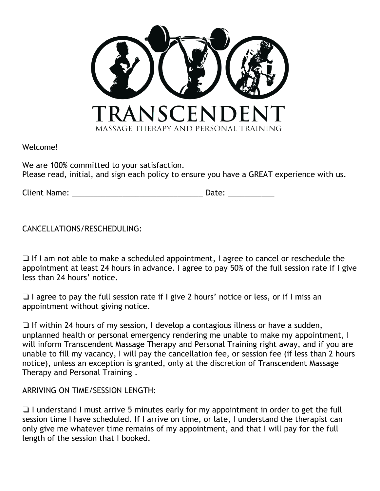

Welcome!

We are 100% committed to your satisfaction. Please read, initial, and sign each policy to ensure you have a GREAT experience with us.

Client Name: \_\_\_\_\_\_\_\_\_\_\_\_\_\_\_\_\_\_\_\_\_\_\_\_\_\_\_\_\_\_\_ Date: \_\_\_\_\_\_\_\_\_\_\_

CANCELLATIONS/RESCHEDULING:

❏ If I am not able to make a scheduled appointment, I agree to cancel or reschedule the appointment at least 24 hours in advance. I agree to pay 50% of the full session rate if I give less than 24 hours' notice.

❏ I agree to pay the full session rate if I give 2 hours' notice or less, or if I miss an appointment without giving notice.

❏ If within 24 hours of my session, I develop a contagious illness or have a sudden, unplanned health or personal emergency rendering me unable to make my appointment, I will inform Transcendent Massage Therapy and Personal Training right away, and if you are unable to fill my vacancy, I will pay the cancellation fee, or session fee (if less than 2 hours notice), unless an exception is granted, only at the discretion of Transcendent Massage Therapy and Personal Training .

ARRIVING ON TIME/SESSION LENGTH:

❏ I understand I must arrive 5 minutes early for my appointment in order to get the full session time I have scheduled. If I arrive on time, or late, I understand the therapist can only give me whatever time remains of my appointment, and that I will pay for the full length of the session that I booked.